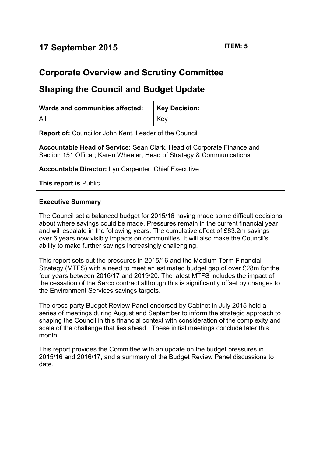| 17 September 2015                                                                                                                                      |                      | ITEM: 5 |  |
|--------------------------------------------------------------------------------------------------------------------------------------------------------|----------------------|---------|--|
| <b>Corporate Overview and Scrutiny Committee</b>                                                                                                       |                      |         |  |
| <b>Shaping the Council and Budget Update</b>                                                                                                           |                      |         |  |
| Wards and communities affected:                                                                                                                        | <b>Key Decision:</b> |         |  |
| All                                                                                                                                                    | Key                  |         |  |
| <b>Report of:</b> Councillor John Kent, Leader of the Council                                                                                          |                      |         |  |
| <b>Accountable Head of Service:</b> Sean Clark, Head of Corporate Finance and<br>Section 151 Officer; Karen Wheeler, Head of Strategy & Communications |                      |         |  |
| <b>Accountable Director:</b> Lyn Carpenter, Chief Executive                                                                                            |                      |         |  |
| <b>This report is Public</b>                                                                                                                           |                      |         |  |

## **Executive Summary**

The Council set a balanced budget for 2015/16 having made some difficult decisions about where savings could be made. Pressures remain in the current financial year and will escalate in the following years. The cumulative effect of £83.2m savings over 6 years now visibly impacts on communities. It will also make the Council's ability to make further savings increasingly challenging.

This report sets out the pressures in 2015/16 and the Medium Term Financial Strategy (MTFS) with a need to meet an estimated budget gap of over £28m for the four years between 2016/17 and 2019/20. The latest MTFS includes the impact of the cessation of the Serco contract although this is significantly offset by changes to the Environment Services savings targets.

The cross-party Budget Review Panel endorsed by Cabinet in July 2015 held a series of meetings during August and September to inform the strategic approach to shaping the Council in this financial context with consideration of the complexity and scale of the challenge that lies ahead. These initial meetings conclude later this month.

This report provides the Committee with an update on the budget pressures in 2015/16 and 2016/17, and a summary of the Budget Review Panel discussions to date.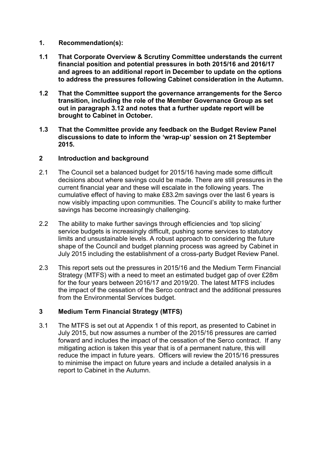- **1. Recommendation(s):**
- **1.1 That Corporate Overview & Scrutiny Committee understands the current financial position and potential pressures in both 2015/16 and 2016/17 and agrees to an additional report in December to update on the options to address the pressures following Cabinet consideration in the Autumn.**
- **1.2 That the Committee support the governance arrangements for the Serco transition, including the role of the Member Governance Group as set out in paragraph 3.12 and notes that a further update report will be brought to Cabinet in October.**
- **1.3 That the Committee provide any feedback on the Budget Review Panel discussions to date to inform the 'wrap-up' session on 21 September 2015.**

## **2 Introduction and background**

- 2.1 The Council set a balanced budget for 2015/16 having made some difficult decisions about where savings could be made. There are still pressures in the current financial year and these will escalate in the following years. The cumulative effect of having to make £83.2m savings over the last 6 years is now visibly impacting upon communities. The Council's ability to make further savings has become increasingly challenging.
- 2.2 The ability to make further savings through efficiencies and 'top slicing' service budgets is increasingly difficult, pushing some services to statutory limits and unsustainable levels. A robust approach to considering the future shape of the Council and budget planning process was agreed by Cabinet in July 2015 including the establishment of a cross-party Budget Review Panel.
- 2.3 This report sets out the pressures in 2015/16 and the Medium Term Financial Strategy (MTFS) with a need to meet an estimated budget gap of over £28m for the four years between 2016/17 and 2019/20. The latest MTFS includes the impact of the cessation of the Serco contract and the additional pressures from the Environmental Services budget.

## **3 Medium Term Financial Strategy (MTFS)**

3.1 The MTFS is set out at Appendix 1 of this report, as presented to Cabinet in July 2015, but now assumes a number of the 2015/16 pressures are carried forward and includes the impact of the cessation of the Serco contract. If any mitigating action is taken this year that is of a permanent nature, this will reduce the impact in future years. Officers will review the 2015/16 pressures to minimise the impact on future years and include a detailed analysis in a report to Cabinet in the Autumn.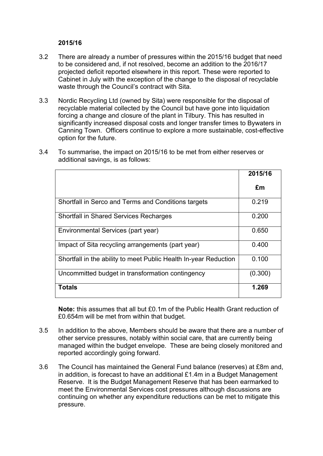#### **2015/16**

- 3.2 There are already a number of pressures within the 2015/16 budget that need to be considered and, if not resolved, become an addition to the 2016/17 projected deficit reported elsewhere in this report. These were reported to Cabinet in July with the exception of the change to the disposal of recyclable waste through the Council's contract with Sita.
- 3.3 Nordic Recycling Ltd (owned by Sita) were responsible for the disposal of recyclable material collected by the Council but have gone into liquidation forcing a change and closure of the plant in Tilbury. This has resulted in significantly increased disposal costs and longer transfer times to Bywaters in Canning Town. Officers continue to explore a more sustainable, cost-effective option for the future.

|                                                                  | 2015/16 |
|------------------------------------------------------------------|---------|
|                                                                  | £m      |
| Shortfall in Serco and Terms and Conditions targets              | 0.219   |
| <b>Shortfall in Shared Services Recharges</b>                    | 0.200   |
| Environmental Services (part year)                               | 0.650   |
| Impact of Sita recycling arrangements (part year)                | 0.400   |
| Shortfall in the ability to meet Public Health In-year Reduction | 0.100   |
| Uncommitted budget in transformation contingency                 | (0.300) |
| <b>Totals</b>                                                    | 1.269   |

3.4 To summarise, the impact on 2015/16 to be met from either reserves or additional savings, is as follows:

**Note:** this assumes that all but £0.1m of the Public Health Grant reduction of £0.654m will be met from within that budget.

- 3.5 In addition to the above, Members should be aware that there are a number of other service pressures, notably within social care, that are currently being managed within the budget envelope. These are being closely monitored and reported accordingly going forward.
- 3.6 The Council has maintained the General Fund balance (reserves) at £8m and, in addition, is forecast to have an additional £1.4m in a Budget Management Reserve. It is the Budget Management Reserve that has been earmarked to meet the Environmental Services cost pressures although discussions are continuing on whether any expenditure reductions can be met to mitigate this pressure.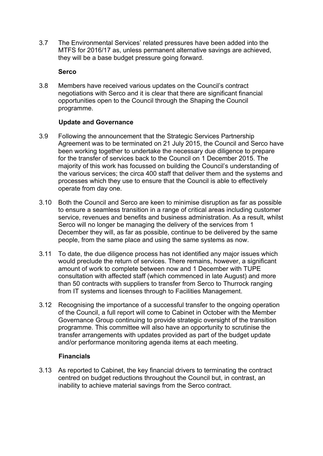3.7 The Environmental Services' related pressures have been added into the MTFS for 2016/17 as, unless permanent alternative savings are achieved, they will be a base budget pressure going forward.

#### **Serco**

3.8 Members have received various updates on the Council's contract negotiations with Serco and it is clear that there are significant financial opportunities open to the Council through the Shaping the Council programme.

#### **Update and Governance**

- 3.9 Following the announcement that the Strategic Services Partnership Agreement was to be terminated on 21 July 2015, the Council and Serco have been working together to undertake the necessary due diligence to prepare for the transfer of services back to the Council on 1 December 2015. The majority of this work has focussed on building the Council's understanding of the various services; the circa 400 staff that deliver them and the systems and processes which they use to ensure that the Council is able to effectively operate from day one.
- 3.10 Both the Council and Serco are keen to minimise disruption as far as possible to ensure a seamless transition in a range of critical areas including customer service, revenues and benefits and business administration. As a result, whilst Serco will no longer be managing the delivery of the services from 1 December they will, as far as possible, continue to be delivered by the same people, from the same place and using the same systems as now.
- 3.11 To date, the due diligence process has not identified any major issues which would preclude the return of services. There remains, however, a significant amount of work to complete between now and 1 December with TUPE consultation with affected staff (which commenced in late August) and more than 50 contracts with suppliers to transfer from Serco to Thurrock ranging from IT systems and licenses through to Facilities Management.
- 3.12 Recognising the importance of a successful transfer to the ongoing operation of the Council, a full report will come to Cabinet in October with the Member Governance Group continuing to provide strategic oversight of the transition programme. This committee will also have an opportunity to scrutinise the transfer arrangements with updates provided as part of the budget update and/or performance monitoring agenda items at each meeting.

#### **Financials**

3.13 As reported to Cabinet, the key financial drivers to terminating the contract centred on budget reductions throughout the Council but, in contrast, an inability to achieve material savings from the Serco contract.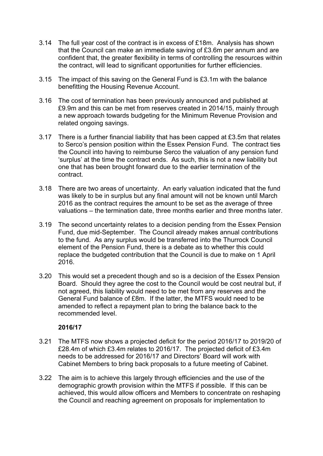- 3.14 The full year cost of the contract is in excess of £18m. Analysis has shown that the Council can make an immediate saving of £3.6m per annum and are confident that, the greater flexibility in terms of controlling the resources within the contract, will lead to significant opportunities for further efficiencies.
- 3.15 The impact of this saving on the General Fund is £3.1m with the balance benefitting the Housing Revenue Account.
- 3.16 The cost of termination has been previously announced and published at £9.9m and this can be met from reserves created in 2014/15, mainly through a new approach towards budgeting for the Minimum Revenue Provision and related ongoing savings.
- 3.17 There is a further financial liability that has been capped at £3.5m that relates to Serco's pension position within the Essex Pension Fund. The contract ties the Council into having to reimburse Serco the valuation of any pension fund 'surplus' at the time the contract ends. As such, this is not a new liability but one that has been brought forward due to the earlier termination of the contract.
- 3.18 There are two areas of uncertainty. An early valuation indicated that the fund was likely to be in surplus but any final amount will not be known until March 2016 as the contract requires the amount to be set as the average of three valuations – the termination date, three months earlier and three months later.
- 3.19 The second uncertainty relates to a decision pending from the Essex Pension Fund, due mid-September. The Council already makes annual contributions to the fund. As any surplus would be transferred into the Thurrock Council element of the Pension Fund, there is a debate as to whether this could replace the budgeted contribution that the Council is due to make on 1 April 2016.
- 3.20 This would set a precedent though and so is a decision of the Essex Pension Board. Should they agree the cost to the Council would be cost neutral but, if not agreed, this liability would need to be met from any reserves and the General Fund balance of £8m. If the latter, the MTFS would need to be amended to reflect a repayment plan to bring the balance back to the recommended level.

#### **2016/17**

- 3.21 The MTFS now shows a projected deficit for the period 2016/17 to 2019/20 of £28.4m of which £3.4m relates to 2016/17. The projected deficit of £3.4m needs to be addressed for 2016/17 and Directors' Board will work with Cabinet Members to bring back proposals to a future meeting of Cabinet.
- 3.22 The aim is to achieve this largely through efficiencies and the use of the demographic growth provision within the MTFS if possible. If this can be achieved, this would allow officers and Members to concentrate on reshaping the Council and reaching agreement on proposals for implementation to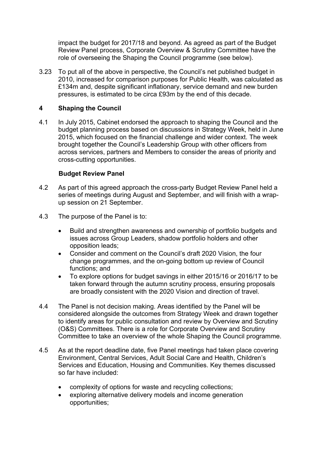impact the budget for 2017/18 and beyond. As agreed as part of the Budget Review Panel process, Corporate Overview & Scrutiny Committee have the role of overseeing the Shaping the Council programme (see below).

3.23 To put all of the above in perspective, the Council's net published budget in 2010, increased for comparison purposes for Public Health, was calculated as £134m and, despite significant inflationary, service demand and new burden pressures, is estimated to be circa £93m by the end of this decade.

## **4 Shaping the Council**

4.1 In July 2015, Cabinet endorsed the approach to shaping the Council and the budget planning process based on discussions in Strategy Week, held in June 2015, which focused on the financial challenge and wider context. The week brought together the Council's Leadership Group with other officers from across services, partners and Members to consider the areas of priority and cross-cutting opportunities.

#### **Budget Review Panel**

- 4.2 As part of this agreed approach the cross-party Budget Review Panel held a series of meetings during August and September, and will finish with a wrapup session on 21 September.
- 4.3 The purpose of the Panel is to:
	- Build and strengthen awareness and ownership of portfolio budgets and issues across Group Leaders, shadow portfolio holders and other opposition leads;
	- Consider and comment on the Council's draft 2020 Vision, the four change programmes, and the on-going bottom up review of Council functions; and
	- To explore options for budget savings in either 2015/16 or 2016/17 to be taken forward through the autumn scrutiny process, ensuring proposals are broadly consistent with the 2020 Vision and direction of travel.
- 4.4 The Panel is not decision making. Areas identified by the Panel will be considered alongside the outcomes from Strategy Week and drawn together to identify areas for public consultation and review by Overview and Scrutiny (O&S) Committees. There is a role for Corporate Overview and Scrutiny Committee to take an overview of the whole Shaping the Council programme.
- 4.5 As at the report deadline date, five Panel meetings had taken place covering Environment, Central Services, Adult Social Care and Health, Children's Services and Education, Housing and Communities. Key themes discussed so far have included:
	- complexity of options for waste and recycling collections;
	- exploring alternative delivery models and income generation opportunities;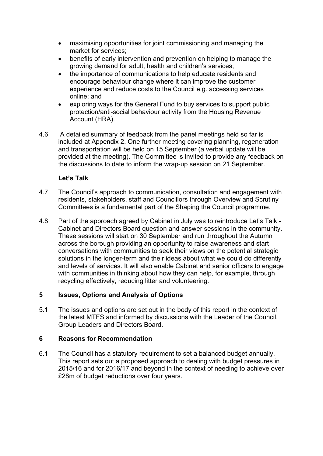- maximising opportunities for joint commissioning and managing the market for services;
- benefits of early intervention and prevention on helping to manage the growing demand for adult, health and children's services;
- the importance of communications to help educate residents and encourage behaviour change where it can improve the customer experience and reduce costs to the Council e.g. accessing services online; and
- exploring ways for the General Fund to buy services to support public protection/anti-social behaviour activity from the Housing Revenue Account (HRA).
- 4.6 A detailed summary of feedback from the panel meetings held so far is included at Appendix 2. One further meeting covering planning, regeneration and transportation will be held on 15 September (a verbal update will be provided at the meeting). The Committee is invited to provide any feedback on the discussions to date to inform the wrap-up session on 21 September.

## **Let's Talk**

- 4.7 The Council's approach to communication, consultation and engagement with residents, stakeholders, staff and Councillors through Overview and Scrutiny Committees is a fundamental part of the Shaping the Council programme.
- 4.8 Part of the approach agreed by Cabinet in July was to reintroduce Let's Talk Cabinet and Directors Board question and answer sessions in the community. These sessions will start on 30 September and run throughout the Autumn across the borough providing an opportunity to raise awareness and start conversations with communities to seek their views on the potential strategic solutions in the longer-term and their ideas about what we could do differently and levels of services. It will also enable Cabinet and senior officers to engage with communities in thinking about how they can help, for example, through recycling effectively, reducing litter and volunteering.

#### **5 Issues, Options and Analysis of Options**

5.1 The issues and options are set out in the body of this report in the context of the latest MTFS and informed by discussions with the Leader of the Council, Group Leaders and Directors Board.

#### **6 Reasons for Recommendation**

6.1 The Council has a statutory requirement to set a balanced budget annually. This report sets out a proposed approach to dealing with budget pressures in 2015/16 and for 2016/17 and beyond in the context of needing to achieve over £28m of budget reductions over four years.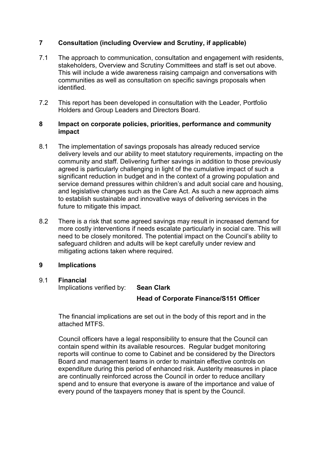## **7 Consultation (including Overview and Scrutiny, if applicable)**

- 7.1 The approach to communication, consultation and engagement with residents, stakeholders, Overview and Scrutiny Committees and staff is set out above. This will include a wide awareness raising campaign and conversations with communities as well as consultation on specific savings proposals when identified.
- 7.2 This report has been developed in consultation with the Leader, Portfolio Holders and Group Leaders and Directors Board.

#### **8 Impact on corporate policies, priorities, performance and community impact**

- 8.1 The implementation of savings proposals has already reduced service delivery levels and our ability to meet statutory requirements, impacting on the community and staff. Delivering further savings in addition to those previously agreed is particularly challenging in light of the cumulative impact of such a significant reduction in budget and in the context of a growing population and service demand pressures within children's and adult social care and housing, and legislative changes such as the Care Act. As such a new approach aims to establish sustainable and innovative ways of delivering services in the future to mitigate this impact.
- 8.2 There is a risk that some agreed savings may result in increased demand for more costly interventions if needs escalate particularly in social care. This will need to be closely monitored. The potential impact on the Council's ability to safeguard children and adults will be kept carefully under review and mitigating actions taken where required.

## **9 Implications**

# 9.1 **Financial**

Implications verified by: **Sean Clark**

## **Head of Corporate Finance/S151 Officer**

The financial implications are set out in the body of this report and in the attached MTFS.

Council officers have a legal responsibility to ensure that the Council can contain spend within its available resources. Regular budget monitoring reports will continue to come to Cabinet and be considered by the Directors Board and management teams in order to maintain effective controls on expenditure during this period of enhanced risk. Austerity measures in place are continually reinforced across the Council in order to reduce ancillary spend and to ensure that everyone is aware of the importance and value of every pound of the taxpayers money that is spent by the Council.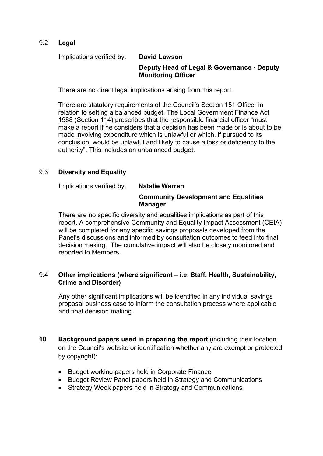## 9.2 **Legal**

Implications verified by: **David Lawson**

## **Deputy Head of Legal & Governance - Deputy Monitoring Officer**

There are no direct legal implications arising from this report.

There are statutory requirements of the Council's Section 151 Officer in relation to setting a balanced budget. The Local Government Finance Act 1988 (Section 114) prescribes that the responsible financial officer "must make a report if he considers that a decision has been made or is about to be made involving expenditure which is unlawful or which, if pursued to its conclusion, would be unlawful and likely to cause a loss or deficiency to the authority". This includes an unbalanced budget.

## 9.3 **Diversity and Equality**

Implications verified by: **Natalie Warren**

## **Community Development and Equalities Manager**

There are no specific diversity and equalities implications as part of this report. A comprehensive Community and Equality Impact Assessment (CEIA) will be completed for any specific savings proposals developed from the Panel's discussions and informed by consultation outcomes to feed into final decision making. The cumulative impact will also be closely monitored and reported to Members.

#### 9.4 **Other implications (where significant – i.e. Staff, Health, Sustainability, Crime and Disorder)**

Any other significant implications will be identified in any individual savings proposal business case to inform the consultation process where applicable and final decision making.

- **10 Background papers used in preparing the report** (including their location on the Council's website or identification whether any are exempt or protected by copyright):
	- Budget working papers held in Corporate Finance
	- Budget Review Panel papers held in Strategy and Communications
	- Strategy Week papers held in Strategy and Communications